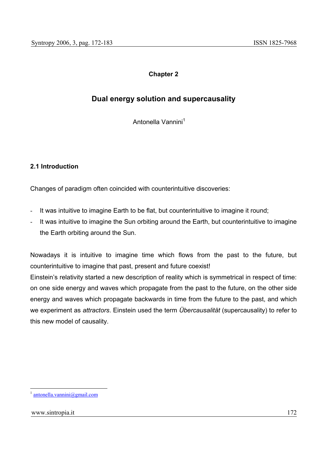# **Chapter 2**

# **Dual energy solution and supercausality**

Antonella Vannini<sup>1</sup>

# **2.1 Introduction**

Changes of paradigm often coincided with counterintuitive discoveries:

- It was intuitive to imagine Earth to be flat, but counterintuitive to imagine it round;
- It was intuitive to imagine the Sun orbiting around the Earth, but counterintuitive to imagine the Earth orbiting around the Sun.

Nowadays it is intuitive to imagine time which flows from the past to the future, but counterintuitive to imagine that past, present and future coexist!

Einstein's relativity started a new description of reality which is symmetrical in respect of time: on one side energy and waves which propagate from the past to the future, on the other side energy and waves which propagate backwards in time from the future to the past, and which we experiment as *attractors*. Einstein used the term *Übercausalität* (supercausality) to refer to this new model of causality.

 $antonella.vannini@gmail.com$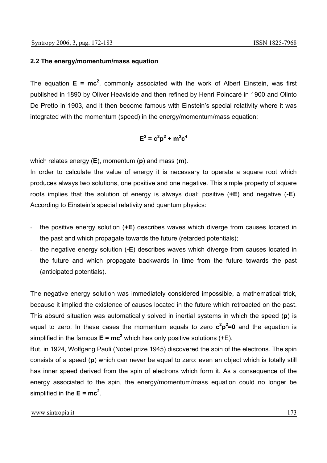## **2.2 The energy/momentum/mass equation**

The equation  $E = mc^2$ , commonly associated with the work of Albert Einstein, was first published in 1890 by Oliver Heaviside and then refined by Henri Poincaré in 1900 and Olinto De Pretto in 1903, and it then become famous with Einstein's special relativity where it was integrated with the momentum (speed) in the energy/momentum/mass equation:

$$
\mathsf{E}^2 = \mathsf{c}^2 \mathsf{p}^2 + \mathsf{m}^2 \mathsf{c}^4
$$

which relates energy (**E**), momentum (**p**) and mass (**m**).

In order to calculate the value of energy it is necessary to operate a square root which produces always two solutions, one positive and one negative. This simple property of square roots implies that the solution of energy is always dual: positive (**+E**) and negative (**-E**). According to Einstein's special relativity and quantum physics:

- the positive energy solution (**+E**) describes waves which diverge from causes located in the past and which propagate towards the future (retarded potentials);
- the negative energy solution (**-E**) describes waves which diverge from causes located in the future and which propagate backwards in time from the future towards the past (anticipated potentials).

The negative energy solution was immediately considered impossible, a mathematical trick, because it implied the existence of causes located in the future which retroacted on the past. This absurd situation was automatically solved in inertial systems in which the speed (**p**) is equal to zero. In these cases the momentum equals to zero  $c^2p^2=0$  and the equation is simplified in the famous  $E = mc^2$  which has only positive solutions (+E).

But, in 1924, Wolfgang Pauli (Nobel prize 1945) discovered the spin of the electrons. The spin consists of a speed (**p**) which can never be equal to zero: even an object which is totally still has inner speed derived from the spin of electrons which form it. As a consequence of the energy associated to the spin, the energy/momentum/mass equation could no longer be simplified in the  $E = mc^2$ .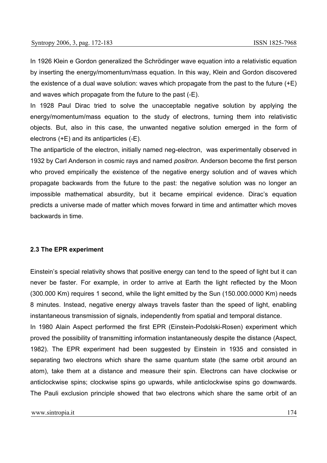In 1926 Klein e Gordon generalized the Schrödinger wave equation into a relativistic equation by inserting the energy/momentum/mass equation. In this way, Klein and Gordon discovered the existence of a dual wave solution: waves which propagate from the past to the future (+E) and waves which propagate from the future to the past (-E).

In 1928 Paul Dirac tried to solve the unacceptable negative solution by applying the energy/momentum/mass equation to the study of electrons, turning them into relativistic objects. But, also in this case, the unwanted negative solution emerged in the form of electrons (+E) and its antiparticles (-E).

The antiparticle of the electron, initially named neg-electron, was experimentally observed in 1932 by Carl Anderson in cosmic rays and named *positron*. Anderson become the first person who proved empirically the existence of the negative energy solution and of waves which propagate backwards from the future to the past: the negative solution was no longer an impossible mathematical absurdity, but it became empirical evidence. Dirac's equation predicts a universe made of matter which moves forward in time and antimatter which moves backwards in time.

## **2.3 The EPR experiment**

Einstein's special relativity shows that positive energy can tend to the speed of light but it can never be faster. For example, in order to arrive at Earth the light reflected by the Moon (300.000 Km) requires 1 second, while the light emitted by the Sun (150.000.0000 Km) needs 8 minutes. Instead, negative energy always travels faster than the speed of light, enabling instantaneous transmission of signals, independently from spatial and temporal distance.

In 1980 Alain Aspect performed the first EPR (Einstein-Podolski-Rosen) experiment which proved the possibility of transmitting information instantaneously despite the distance (Aspect, 1982). The EPR experiment had been suggested by Einstein in 1935 and consisted in separating two electrons which share the same quantum state (the same orbit around an atom), take them at a distance and measure their spin. Electrons can have clockwise or anticlockwise spins; clockwise spins go upwards, while anticlockwise spins go downwards. The Pauli exclusion principle showed that two electrons which share the same orbit of an

www.sintropia.it 174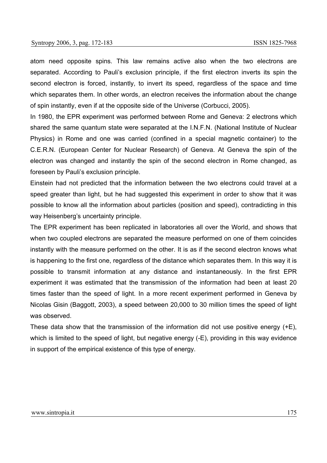atom need opposite spins. This law remains active also when the two electrons are separated. According to Pauli's exclusion principle, if the first electron inverts its spin the second electron is forced, instantly, to invert its speed, regardless of the space and time which separates them. In other words, an electron receives the information about the change of spin instantly, even if at the opposite side of the Universe (Corbucci, 2005).

In 1980, the EPR experiment was performed between Rome and Geneva: 2 electrons which shared the same quantum state were separated at the I.N.F.N. (National Institute of Nuclear Physics) in Rome and one was carried (confined in a special magnetic container) to the C.E.R.N. (European Center for Nuclear Research) of Geneva. At Geneva the spin of the electron was changed and instantly the spin of the second electron in Rome changed, as foreseen by Pauli's exclusion principle.

Einstein had not predicted that the information between the two electrons could travel at a speed greater than light, but he had suggested this experiment in order to show that it was possible to know all the information about particles (position and speed), contradicting in this way Heisenberg's uncertainty principle.

The EPR experiment has been replicated in laboratories all over the World, and shows that when two coupled electrons are separated the measure performed on one of them coincides instantly with the measure performed on the other. It is as if the second electron knows what is happening to the first one, regardless of the distance which separates them. In this way it is possible to transmit information at any distance and instantaneously. In the first EPR experiment it was estimated that the transmission of the information had been at least 20 times faster than the speed of light. In a more recent experiment performed in Geneva by Nicolas Gisin (Baggott, 2003), a speed between 20,000 to 30 million times the speed of light was observed.

These data show that the transmission of the information did not use positive energy (+E), which is limited to the speed of light, but negative energy (-E), providing in this way evidence in support of the empirical existence of this type of energy.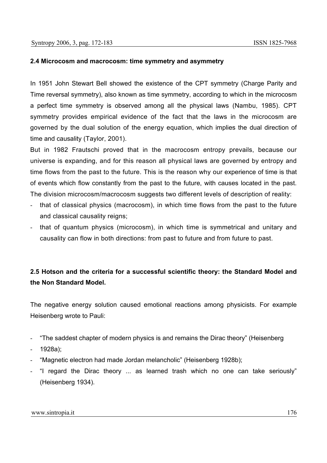# **2.4 Microcosm and macrocosm: time symmetry and asymmetry**

In 1951 John Stewart Bell showed the existence of the CPT symmetry (Charge Parity and Time reversal symmetry), also known as time symmetry, according to which in the microcosm a perfect time symmetry is observed among all the physical laws (Nambu, 1985). CPT symmetry provides empirical evidence of the fact that the laws in the microcosm are governed by the dual solution of the energy equation, which implies the dual direction of time and causality (Taylor, 2001).

But in 1982 Frautschi proved that in the macrocosm entropy prevails, because our universe is expanding, and for this reason all physical laws are governed by entropy and time flows from the past to the future. This is the reason why our experience of time is that of events which flow constantly from the past to the future, with causes located in the past. The division microcosm/macrocosm suggests two different levels of description of reality:

- that of classical physics (macrocosm), in which time flows from the past to the future and classical causality reigns;
- that of quantum physics (microcosm), in which time is symmetrical and unitary and causality can flow in both directions: from past to future and from future to past.

# **2.5 Hotson and the criteria for a successful scientific theory: the Standard Model and the Non Standard Model.**

The negative energy solution caused emotional reactions among physicists. For example Heisenberg wrote to Pauli:

- "The saddest chapter of modern physics is and remains the Dirac theory" (Heisenberg
- 1928a);
- "Magnetic electron had made Jordan melancholic" (Heisenberg 1928b);
- "I regard the Dirac theory ... as learned trash which no one can take seriously" (Heisenberg 1934).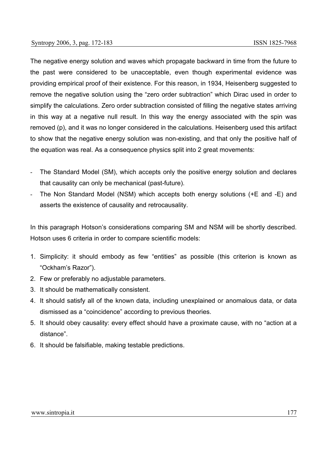The negative energy solution and waves which propagate backward in time from the future to the past were considered to be unacceptable, even though experimental evidence was providing empirical proof of their existence. For this reason, in 1934, Heisenberg suggested to remove the negative solution using the "zero order subtraction" which Dirac used in order to simplify the calculations. Zero order subtraction consisted of filling the negative states arriving in this way at a negative null result. In this way the energy associated with the spin was removed (p), and it was no longer considered in the calculations. Heisenberg used this artifact to show that the negative energy solution was non-existing, and that only the positive half of the equation was real. As a consequence physics split into 2 great movements:

- The Standard Model (SM), which accepts only the positive energy solution and declares that causality can only be mechanical (past-future).
- The Non Standard Model (NSM) which accepts both energy solutions (+E and -E) and asserts the existence of causality and retrocausality.

In this paragraph Hotson's considerations comparing SM and NSM will be shortly described. Hotson uses 6 criteria in order to compare scientific models:

- 1. Simplicity: it should embody as few "entities" as possible (this criterion is known as "Ockham's Razor").
- 2. Few or preferably no adjustable parameters.
- 3. It should be mathematically consistent.
- 4. It should satisfy all of the known data, including unexplained or anomalous data, or data dismissed as a "coincidence" according to previous theories.
- 5. It should obey causality: every effect should have a proximate cause, with no "action at a distance".
- 6. It should be falsifiable, making testable predictions.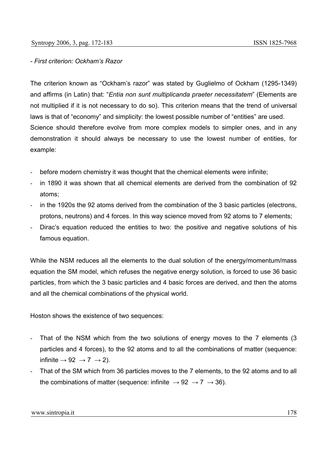# *- First criterion: Ockham's Razor*

The criterion known as "Ockham's razor" was stated by Guglielmo of Ockham (1295-1349) and affirms (in Latin) that: "*Entia non sunt multiplicanda praeter necessitatem*" (Elements are not multiplied if it is not necessary to do so). This criterion means that the trend of universal laws is that of "economy" and simplicity: the lowest possible number of "entities" are used. Science should therefore evolve from more complex models to simpler ones, and in any demonstration it should always be necessary to use the lowest number of entities, for example:

- before modern chemistry it was thought that the chemical elements were infinite;
- in 1890 it was shown that all chemical elements are derived from the combination of 92 atoms;
- in the 1920s the 92 atoms derived from the combination of the 3 basic particles (electrons, protons, neutrons) and 4 forces. In this way science moved from 92 atoms to 7 elements;
- Dirac's equation reduced the entities to two: the positive and negative solutions of his famous equation.

While the NSM reduces all the elements to the dual solution of the energy/momentum/mass equation the SM model, which refuses the negative energy solution, is forced to use 36 basic particles, from which the 3 basic particles and 4 basic forces are derived, and then the atoms and all the chemical combinations of the physical world.

Hoston shows the existence of two sequences:

- That of the NSM which from the two solutions of energy moves to the 7 elements (3 particles and 4 forces), to the 92 atoms and to all the combinations of matter (sequence: infinite  $\rightarrow$  92  $\rightarrow$  7  $\rightarrow$  2).
- That of the SM which from 36 particles moves to the 7 elements, to the 92 atoms and to all the combinations of matter (sequence: infinite  $\rightarrow$  92  $\rightarrow$  7  $\rightarrow$  36).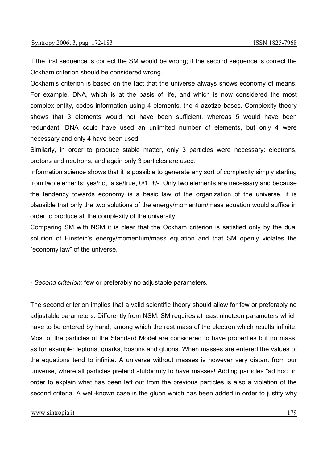If the first sequence is correct the SM would be wrong; if the second sequence is correct the Ockham criterion should be considered wrong.

Ockham's criterion is based on the fact that the universe always shows economy of means. For example, DNA, which is at the basis of life, and which is now considered the most complex entity, codes information using 4 elements, the 4 azotize bases. Complexity theory shows that 3 elements would not have been sufficient, whereas 5 would have been redundant; DNA could have used an unlimited number of elements, but only 4 were necessary and only 4 have been used.

Similarly, in order to produce stable matter, only 3 particles were necessary: electrons, protons and neutrons, and again only 3 particles are used.

Information science shows that it is possible to generate any sort of complexity simply starting from two elements: yes/no, false/true, 0/1, +/-. Only two elements are necessary and because the tendency towards economy is a basic law of the organization of the universe, it is plausible that only the two solutions of the energy/momentum/mass equation would suffice in order to produce all the complexity of the university.

Comparing SM with NSM it is clear that the Ockham criterion is satisfied only by the dual solution of Einstein's energy/momentum/mass equation and that SM openly violates the "economy law" of the universe.

*- Second criterion:* few or preferably no adjustable parameters*.* 

The second criterion implies that a valid scientific theory should allow for few or preferably no adjustable parameters. Differently from NSM, SM requires at least nineteen parameters which have to be entered by hand, among which the rest mass of the electron which results infinite. Most of the particles of the Standard Model are considered to have properties but no mass, as for example: leptons, quarks, bosons and gluons. When masses are entered the values of the equations tend to infinite. A universe without masses is however very distant from our universe, where all particles pretend stubbornly to have masses! Adding particles "ad hoc" in order to explain what has been left out from the previous particles is also a violation of the second criteria. A well-known case is the gluon which has been added in order to justify why

www.sintropia.it 179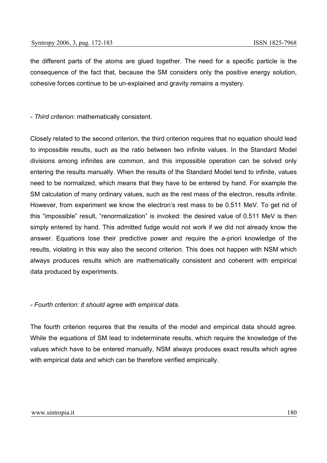the different parts of the atoms are glued together. The need for a specific particle is the consequence of the fact that, because the SM considers only the positive energy solution, cohesive forces continue to be un-explained and gravity remains a mystery.

#### *- Third criterion:* mathematically consistent*.*

Closely related to the second criterion, the third criterion requires that no equation should lead to impossible results, such as the ratio between two infinite values. In the Standard Model divisions among infinites are common, and this impossible operation can be solved only entering the results manually. When the results of the Standard Model tend to infinite, values need to be normalized, which means that they have to be entered by hand. For example the SM calculation of many ordinary values, such as the rest mass of the electron, results infinite. However, from experiment we know the electron's rest mass to be 0.511 MeV. To get rid of this "impossible" result, "renormalization" is invoked: the desired value of 0.511 MeV is then simply entered by hand. This admitted fudge would not work if we did not already know the answer. Equations lose their predictive power and require the a-priori knowledge of the results, violating in this way also the second criterion. This does not happen with NSM which always produces results which are mathematically consistent and coherent with empirical data produced by experiments.

#### *- Fourth criterion: it should agree with empirical data.*

The fourth criterion requires that the results of the model and empirical data should agree. While the equations of SM lead to indeterminate results, which require the knowledge of the values which have to be entered manually, NSM always produces exact results which agree with empirical data and which can be therefore verified empirically.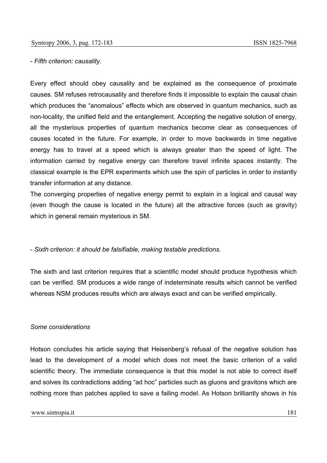#### *- Fifth criterion: causality.*

Every effect should obey causality and be explained as the consequence of proximate causes. SM refuses retrocausality and therefore finds it impossible to explain the causal chain which produces the "anomalous" effects which are observed in quantum mechanics, such as non-locality, the unified field and the entanglement. Accepting the negative solution of energy, all the mysterious properties of quantum mechanics become clear as consequences of causes located in the future. For example, in order to move backwards in time negative energy has to travel at a speed which is always greater than the speed of light. The information carried by negative energy can therefore travel infinite spaces instantly. The classical example is the EPR experiments which use the spin of particles in order to instantly transfer information at any distance.

The converging properties of negative energy permit to explain in a logical and causal way (even though the cause is located in the future) all the attractive forces (such as gravity) which in general remain mysterious in SM.

## *- Sixth criterion: it should be falsifiable, making testable predictions.*

The sixth and last criterion requires that a scientific model should produce hypothesis which can be verified. SM produces a wide range of indeterminate results which cannot be verified whereas NSM produces results which are always exact and can be verified empirically.

#### *Some considerations*

Hotson concludes his article saying that Heisenberg's refusal of the negative solution has lead to the development of a model which does not meet the basic criterion of a valid scientific theory. The immediate consequence is that this model is not able to correct itself and solves its contradictions adding "ad hoc" particles such as gluons and gravitons which are nothing more than patches applied to save a failing model. As Hotson brilliantly shows in his

#### www.sintropia.it 181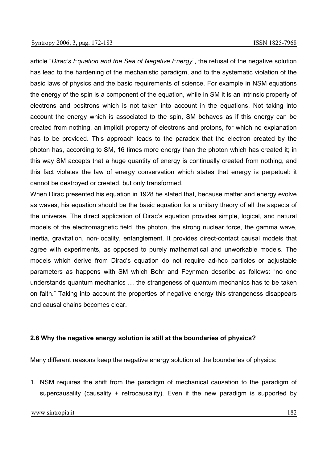article "*Dirac's Equation and the Sea of Negative Energy*", the refusal of the negative solution has lead to the hardening of the mechanistic paradigm, and to the systematic violation of the basic laws of physics and the basic requirements of science. For example in NSM equations the energy of the spin is a component of the equation, while in SM it is an intrinsic property of electrons and positrons which is not taken into account in the equations. Not taking into account the energy which is associated to the spin, SM behaves as if this energy can be created from nothing, an implicit property of electrons and protons, for which no explanation has to be provided. This approach leads to the paradox that the electron created by the photon has, according to SM, 16 times more energy than the photon which has created it; in this way SM accepts that a huge quantity of energy is continually created from nothing, and this fact violates the law of energy conservation which states that energy is perpetual: it cannot be destroyed or created, but only transformed.

When Dirac presented his equation in 1928 he stated that, because matter and energy evolve as waves, his equation should be the basic equation for a unitary theory of all the aspects of the universe. The direct application of Dirac's equation provides simple, logical, and natural models of the electromagnetic field, the photon, the strong nuclear force, the gamma wave, inertia, gravitation, non-locality, entanglement. It provides direct-contact causal models that agree with experiments, as opposed to purely mathematical and unworkable models. The models which derive from Dirac's equation do not require ad-hoc particles or adjustable parameters as happens with SM which Bohr and Feynman describe as follows: "no one understands quantum mechanics … the strangeness of quantum mechanics has to be taken on faith." Taking into account the properties of negative energy this strangeness disappears and causal chains becomes clear.

## **2.6 Why the negative energy solution is still at the boundaries of physics?**

Many different reasons keep the negative energy solution at the boundaries of physics:

1. NSM requires the shift from the paradigm of mechanical causation to the paradigm of supercausality (causality + retrocausality). Even if the new paradigm is supported by